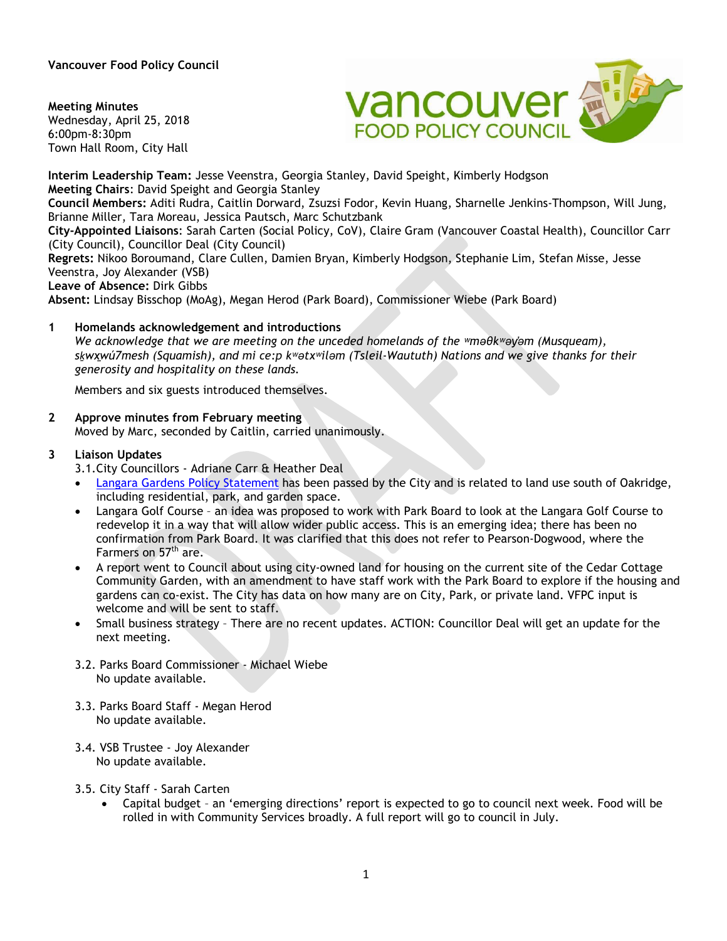**Vancouver Food Policy Council** 

**Meeting Minutes** Wednesday, April 25, 2018 6:00pm-8:30pm Town Hall Room, City Hall



**Interim Leadership Team:** Jesse Veenstra, Georgia Stanley, David Speight, Kimberly Hodgson **Meeting Chairs**: David Speight and Georgia Stanley **Council Members:** Aditi Rudra, Caitlin Dorward, Zsuzsi Fodor, Kevin Huang, Sharnelle Jenkins-Thompson, Will Jung, Brianne Miller, Tara Moreau, Jessica Pautsch, Marc Schutzbank **City-Appointed Liaisons**: Sarah Carten (Social Policy, CoV), Claire Gram (Vancouver Coastal Health), Councillor Carr (City Council), Councillor Deal (City Council) **Regrets:** Nikoo Boroumand, Clare Cullen, Damien Bryan, Kimberly Hodgson, Stephanie Lim, Stefan Misse, Jesse Veenstra, Joy Alexander (VSB) **Leave of Absence:** Dirk Gibbs **Absent:** Lindsay Bisschop (MoAg), Megan Herod (Park Board), Commissioner Wiebe (Park Board) **1 Homelands acknowledgement and introductions**

*We acknowledge that we are meeting on the unceded homelands of the ʷməθkʷəy̓əm (Musqueam), sḵwx̱wú7mesh (Squamish), and mi ce:p kʷətxʷiləm (Tsleil-Waututh) Nations and we give thanks for their generosity and hospitality on these lands.*

Members and six guests introduced themselves.

**2 Approve minutes from February meeting** 

Moved by Marc, seconded by Caitlin, carried unanimously.

### **3 Liaison Updates**

3.1.City Councillors - Adriane Carr & Heather Deal

- Langara Gardens Policy Statement has been passed by the City and is related to land use south of Oakridge, including residential, park, and garden space.
- Langara Golf Course an idea was proposed to work with Park Board to look at the Langara Golf Course to redevelop it in a way that will allow wider public access. This is an emerging idea; there has been no confirmation from Park Board. It was clarified that this does not refer to Pearson-Dogwood, where the Farmers on 57<sup>th</sup> are.
- A report went to Council about using city-owned land for housing on the current site of the Cedar Cottage Community Garden, with an amendment to have staff work with the Park Board to explore if the housing and gardens can co-exist. The City has data on how many are on City, Park, or private land. VFPC input is welcome and will be sent to staff.
- Small business strategy There are no recent updates. ACTION: Councillor Deal will get an update for the next meeting.
- 3.2. Parks Board Commissioner Michael Wiebe No update available.
- 3.3. Parks Board Staff Megan Herod No update available.
- 3.4. VSB Trustee Joy Alexander No update available.
- 3.5. City Staff Sarah Carten
	- Capital budget an 'emerging directions' report is expected to go to council next week. Food will be rolled in with Community Services broadly. A full report will go to council in July.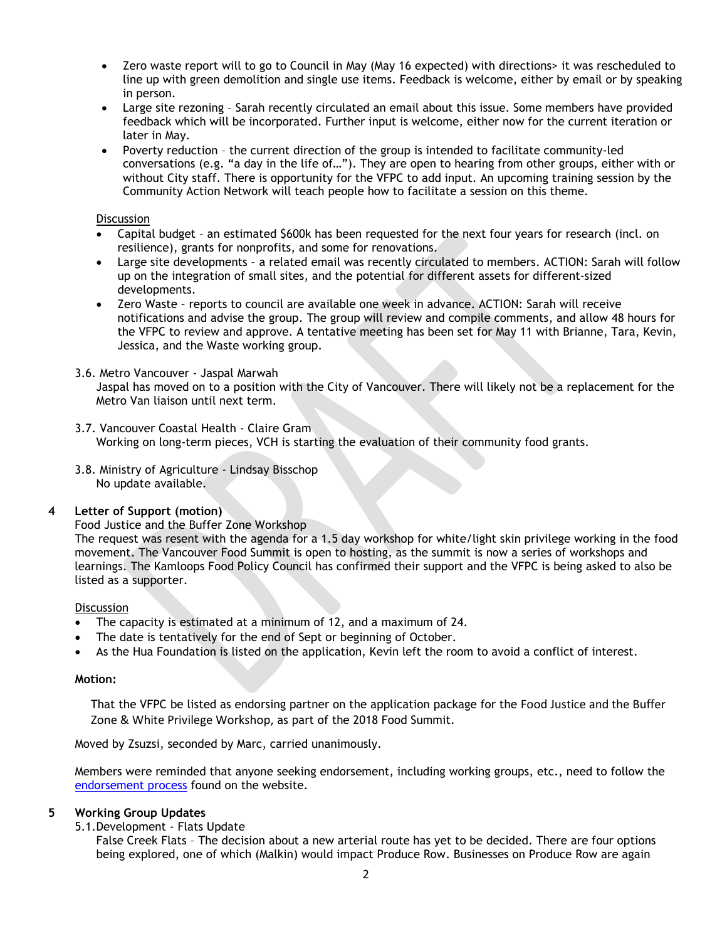- Zero waste report will to go to Council in May (May 16 expected) with directions> it was rescheduled to line up with green demolition and single use items. Feedback is welcome, either by email or by speaking in person.
- Large site rezoning Sarah recently circulated an email about this issue. Some members have provided feedback which will be incorporated. Further input is welcome, either now for the current iteration or later in May.
- Poverty reduction the current direction of the group is intended to facilitate community-led conversations (e.g. "a day in the life of…"). They are open to hearing from other groups, either with or without City staff. There is opportunity for the VFPC to add input. An upcoming training session by the Community Action Network will teach people how to facilitate a session on this theme.

### **Discussion**

- Capital budget an estimated \$600k has been requested for the next four years for research (incl. on resilience), grants for nonprofits, and some for renovations.
- Large site developments a related email was recently circulated to members. ACTION: Sarah will follow up on the integration of small sites, and the potential for different assets for different-sized developments.
- Zero Waste reports to council are available one week in advance. ACTION: Sarah will receive notifications and advise the group. The group will review and compile comments, and allow 48 hours for the VFPC to review and approve. A tentative meeting has been set for May 11 with Brianne, Tara, Kevin, Jessica, and the Waste working group.

# 3.6. Metro Vancouver - Jaspal Marwah

Jaspal has moved on to a position with the City of Vancouver. There will likely not be a replacement for the Metro Van liaison until next term.

- 3.7. Vancouver Coastal Health Claire Gram Working on long-term pieces, VCH is starting the evaluation of their community food grants.
- 3.8. Ministry of Agriculture Lindsay Bisschop No update available.

# **4 Letter of Support (motion)**

#### Food Justice and the Buffer Zone Workshop

The request was resent with the agenda for a 1.5 day workshop for white/light skin privilege working in the food movement. The Vancouver Food Summit is open to hosting, as the summit is now a series of workshops and learnings. The Kamloops Food Policy Council has confirmed their support and the VFPC is being asked to also be listed as a supporter.

#### **Discussion**

- The capacity is estimated at a minimum of 12, and a maximum of 24.
- The date is tentatively for the end of Sept or beginning of October.
- As the Hua Foundation is listed on the application, Kevin left the room to avoid a conflict of interest.

#### **Motion:**

That the VFPC be listed as endorsing partner on the application package for the Food Justice and the Buffer Zone & White Privilege Workshop, as part of the 2018 Food Summit.

Moved by Zsuzsi, seconded by Marc, carried unanimously.

Members were reminded that anyone seeking endorsement, including working groups, etc., need to follow the [endorsement process](http://www.vancouverfoodpolicycouncil.ca/contact-us/process-for-endorsements/) found on the website.

# **5 Working Group Updates**

5.1.Development - Flats Update

False Creek Flats – The decision about a new arterial route has yet to be decided. There are four options being explored, one of which (Malkin) would impact Produce Row. Businesses on Produce Row are again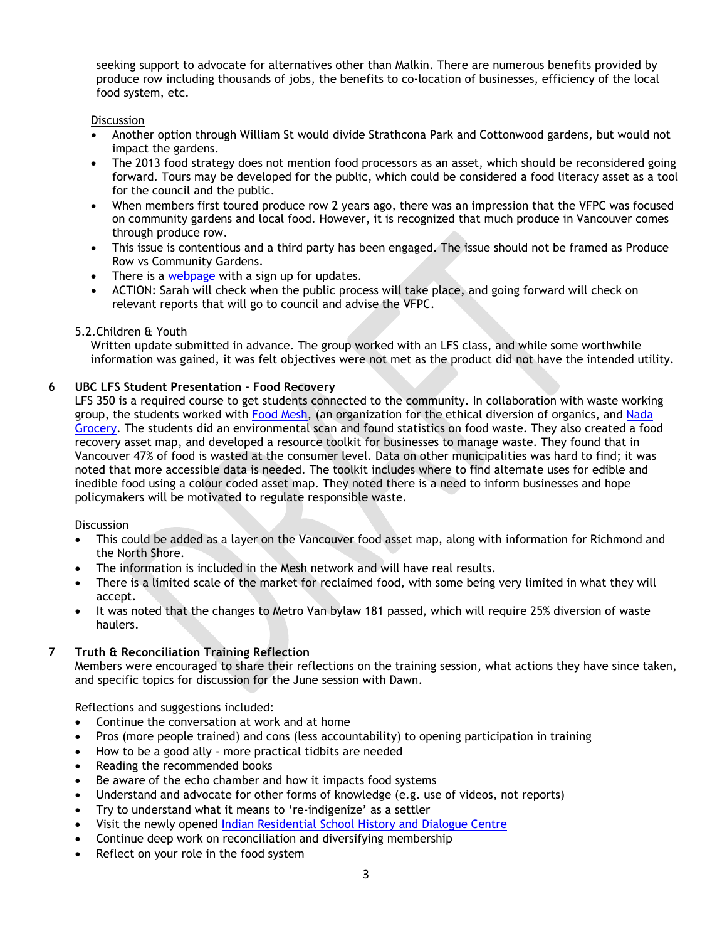seeking support to advocate for alternatives other than Malkin. There are numerous benefits provided by produce row including thousands of jobs, the benefits to co-location of businesses, efficiency of the local food system, etc.

# **Discussion**

- Another option through William St would divide Strathcona Park and Cottonwood gardens, but would not impact the gardens.
- The 2013 food strategy does not mention food processors as an asset, which should be reconsidered going forward. Tours may be developed for the public, which could be considered a food literacy asset as a tool for the council and the public.
- When members first toured produce row 2 years ago, there was an impression that the VFPC was focused on community gardens and local food. However, it is recognized that much produce in Vancouver comes through produce row.
- This issue is contentious and a third party has been engaged. The issue should not be framed as Produce Row vs Community Gardens.
- There is a [webpage](http://vancouver.ca/streets-transportation/false-creek-flats-arterial.aspx) with a sign up for updates.
- ACTION: Sarah will check when the public process will take place, and going forward will check on relevant reports that will go to council and advise the VFPC.

# 5.2.Children & Youth

Written update submitted in advance. The group worked with an LFS class, and while some worthwhile information was gained, it was felt objectives were not met as the product did not have the intended utility.

# **6 UBC LFS Student Presentation - Food Recovery**

LFS 350 is a required course to get students connected to the community. In collaboration with waste working group, the students worked with [Food Mesh,](https://foodmesh.ca/) (an organization for the ethical diversion of organics, and Nada [Grocery.](https://www.nadagrocery.com/) The students did an environmental scan and found statistics on food waste. They also created a food recovery asset map, and developed a resource toolkit for businesses to manage waste. They found that in Vancouver 47% of food is wasted at the consumer level. Data on other municipalities was hard to find; it was noted that more accessible data is needed. The toolkit includes where to find alternate uses for edible and inedible food using a colour coded asset map. They noted there is a need to inform businesses and hope policymakers will be motivated to regulate responsible waste.

#### **Discussion**

- This could be added as a layer on the Vancouver food asset map, along with information for Richmond and the North Shore.
- The information is included in the Mesh network and will have real results.
- There is a limited scale of the market for reclaimed food, with some being very limited in what they will accept.
- It was noted that the changes to Metro Van bylaw 181 passed, which will require 25% diversion of waste haulers.

# **7 Truth & Reconciliation Training Reflection**

Members were encouraged to share their reflections on the training session, what actions they have since taken, and specific topics for discussion for the June session with Dawn.

Reflections and suggestions included:

- Continue the conversation at work and at home
- Pros (more people trained) and cons (less accountability) to opening participation in training
- How to be a good ally more practical tidbits are needed
- Reading the recommended books
- Be aware of the echo chamber and how it impacts food systems
- Understand and advocate for other forms of knowledge (e.g. use of videos, not reports)
- Try to understand what it means to 're-indigenize' as a settler
- Visit the newly opened [Indian Residential School History and Dialogue Centre](http://aboriginal.ubc.ca/indian-residential-school-centre/)
- Continue deep work on reconciliation and diversifying membership
- Reflect on your role in the food system